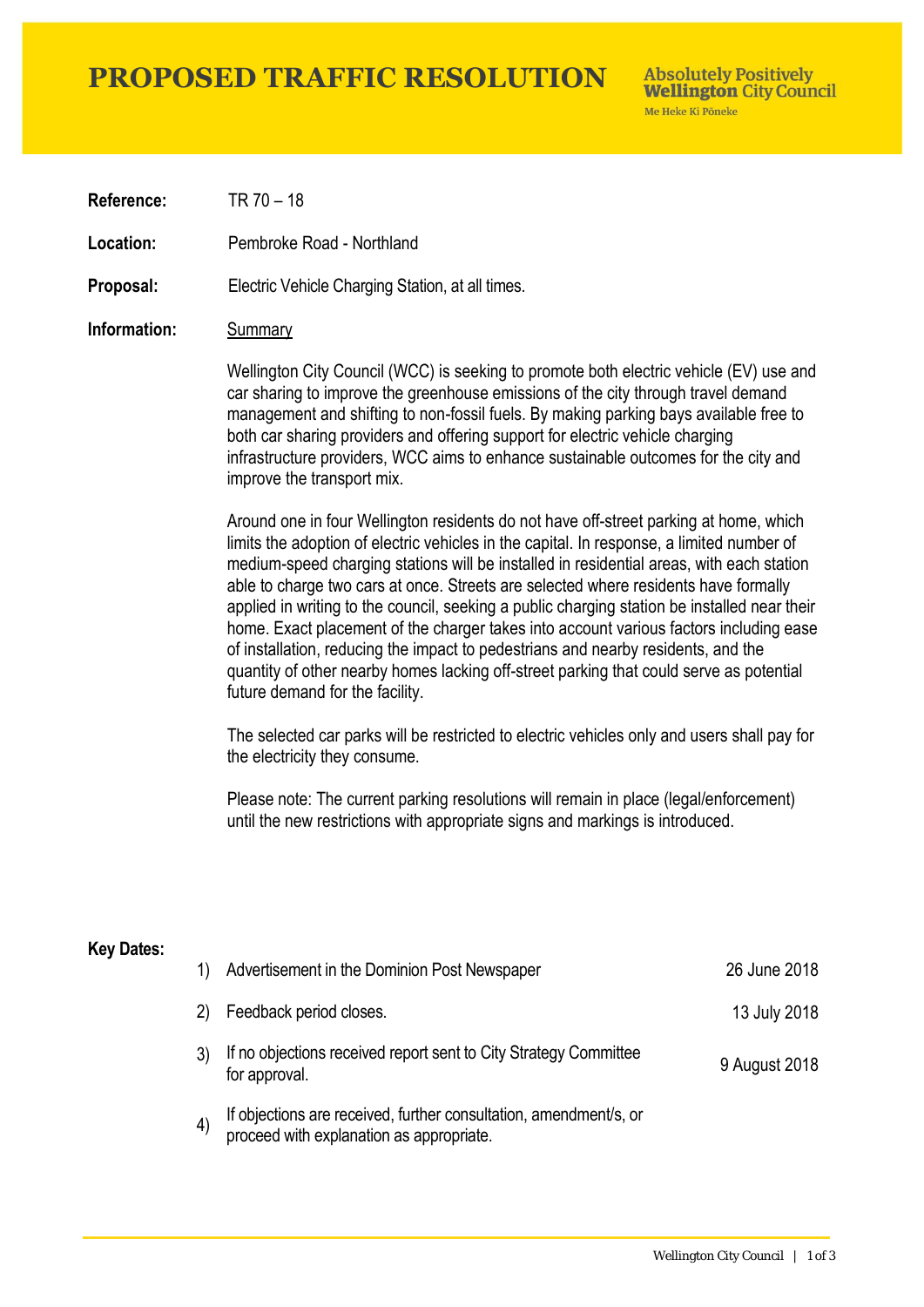## **PROPOSED TRAFFIC RESOLUTION**

**Absolutely Positively Wellington City Council** Me Heke Ki Pôneke

**Reference:** TR 70 – 18

**Location:** Pembroke Road - Northland

**Proposal:** Electric Vehicle Charging Station, at all times.

#### **Information:** Summary

Wellington City Council (WCC) is seeking to promote both electric vehicle (EV) use and car sharing to improve the greenhouse emissions of the city through travel demand management and shifting to non-fossil fuels. By making parking bays available free to both car sharing providers and offering support for electric vehicle charging infrastructure providers, WCC aims to enhance sustainable outcomes for the city and improve the transport mix.

Around one in four Wellington residents do not have off-street parking at home, which limits the adoption of electric vehicles in the capital. In response, a limited number of medium-speed charging stations will be installed in residential areas, with each station able to charge two cars at once. Streets are selected where residents have formally applied in writing to the council, seeking a public charging station be installed near their home. Exact placement of the charger takes into account various factors including ease of installation, reducing the impact to pedestrians and nearby residents, and the quantity of other nearby homes lacking off-street parking that could serve as potential future demand for the facility.

The selected car parks will be restricted to electric vehicles only and users shall pay for the electricity they consume.

Please note: The current parking resolutions will remain in place (legal/enforcement) until the new restrictions with appropriate signs and markings is introduced.

#### **Key Dates:**

| 1)                | Advertisement in the Dominion Post Newspaper                                                                  | 26 June 2018  |
|-------------------|---------------------------------------------------------------------------------------------------------------|---------------|
| 2)                | Feedback period closes.                                                                                       | 13 July 2018  |
|                   | If no objections received report sent to City Strategy Committee<br>for approval.                             | 9 August 2018 |
| $\left( 4\right)$ | If objections are received, further consultation, amendment/s, or<br>proceed with explanation as appropriate. |               |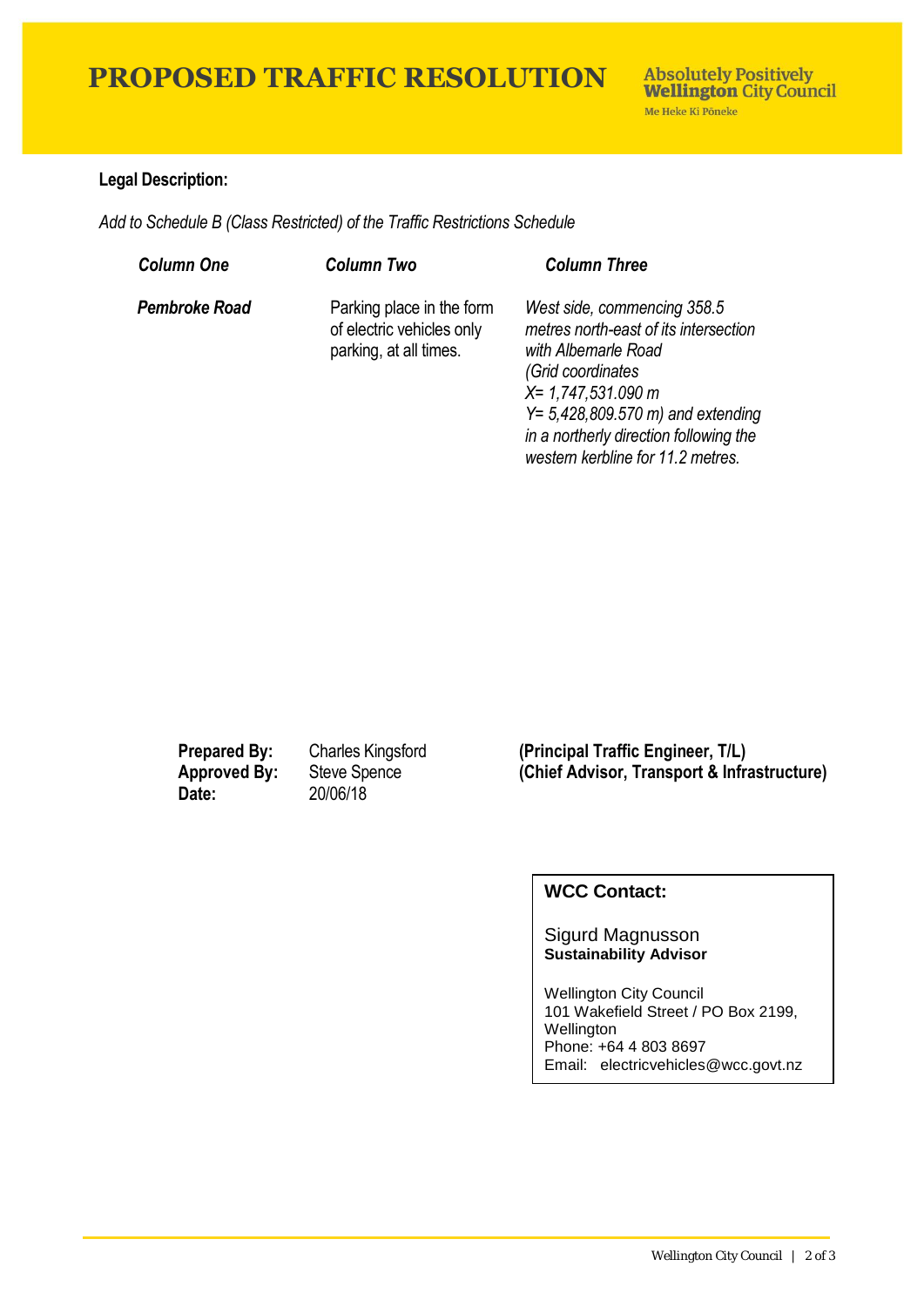# **PROPOSED TRAFFIC RESOLUTION**

### **Legal Description:**

*Add to Schedule B (Class Restricted) of the Traffic Restrictions Schedule* 

| <b>Column One</b> | <b>Column Two</b>                                                                | <b>Column Three</b>                                                                                                                                                                                                                                                     |
|-------------------|----------------------------------------------------------------------------------|-------------------------------------------------------------------------------------------------------------------------------------------------------------------------------------------------------------------------------------------------------------------------|
| Pembroke Road     | Parking place in the form<br>of electric vehicles only<br>parking, at all times. | West side, commencing 358.5<br>metres north-east of its intersection<br>with Albemarle Road<br>(Grid coordinates<br>$X = 1,747,531.090$ m<br>$Y = 5,428,809.570 \text{ m}$ and extending<br>in a northerly direction following the<br>western kerbline for 11.2 metres. |

**Date:** 20/06/18

**Prepared By:** Charles Kingsford **(Principal Traffic Engineer, T/L)** Approved By: Steve Spence **(Chief Advisor, Transport & Infrastructure)**<br>Date: 20/06/18

### **WCC Contact:**

Sigurd Magnusson **Sustainability Advisor**

Wellington City Council 101 Wakefield Street / PO Box 2199, **Wellington** Phone: +64 4 803 8697 Email: electricvehicles@wcc.govt.nz